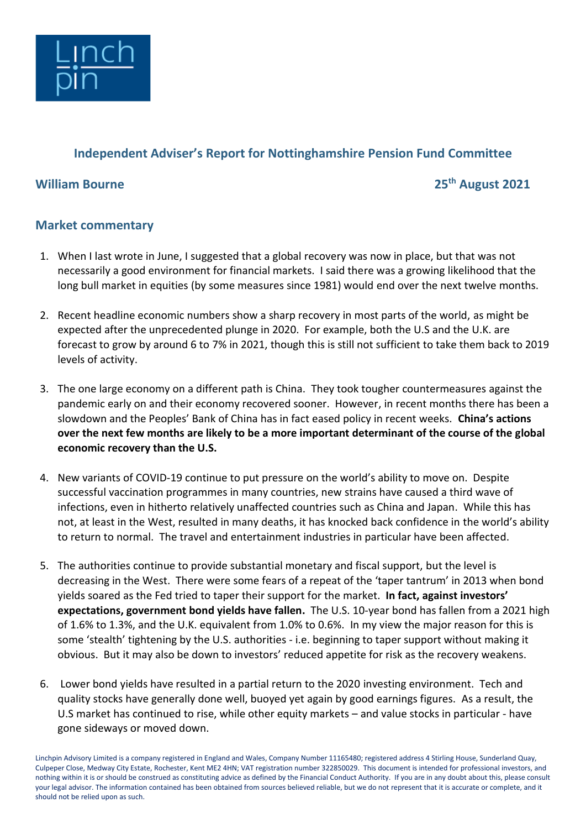

## **Independent Adviser's Report for Nottinghamshire Pension Fund Committee**

**William Bourne 25th August 2021**

## **Market commentary**

- 1. When I last wrote in June, I suggested that a global recovery was now in place, but that was not necessarily a good environment for financial markets. I said there was a growing likelihood that the long bull market in equities (by some measures since 1981) would end over the next twelve months.
- 2. Recent headline economic numbers show a sharp recovery in most parts of the world, as might be expected after the unprecedented plunge in 2020. For example, both the U.S and the U.K. are forecast to grow by around 6 to 7% in 2021, though this is still not sufficient to take them back to 2019 levels of activity.
- 3. The one large economy on a different path is China. They took tougher countermeasures against the pandemic early on and their economy recovered sooner. However, in recent months there has been a slowdown and the Peoples' Bank of China has in fact eased policy in recent weeks. **China's actions over the next few months are likely to be a more important determinant of the course of the global economic recovery than the U.S.**
- 4. New variants of COVID-19 continue to put pressure on the world's ability to move on. Despite successful vaccination programmes in many countries, new strains have caused a third wave of infections, even in hitherto relatively unaffected countries such as China and Japan. While this has not, at least in the West, resulted in many deaths, it has knocked back confidence in the world's ability to return to normal. The travel and entertainment industries in particular have been affected.
- 5. The authorities continue to provide substantial monetary and fiscal support, but the level is decreasing in the West. There were some fears of a repeat of the 'taper tantrum' in 2013 when bond yields soared as the Fed tried to taper their support for the market. **In fact, against investors' expectations, government bond yields have fallen.** The U.S. 10-year bond has fallen from a 2021 high of 1.6% to 1.3%, and the U.K. equivalent from 1.0% to 0.6%. In my view the major reason for this is some 'stealth' tightening by the U.S. authorities - i.e. beginning to taper support without making it obvious. But it may also be down to investors' reduced appetite for risk as the recovery weakens.
- 6. Lower bond yields have resulted in a partial return to the 2020 investing environment. Tech and quality stocks have generally done well, buoyed yet again by good earnings figures. As a result, the U.S market has continued to rise, while other equity markets – and value stocks in particular - have gone sideways or moved down.

Linchpin Advisory Limited is a company registered in England and Wales, Company Number 11165480; registered address 4 Stirling House, Sunderland Quay, Culpeper Close, Medway City Estate, Rochester, Kent ME2 4HN; VAT registration number 322850029. This document is intended for professional investors, and nothing within it is or should be construed as constituting advice as defined by the Financial Conduct Authority. If you are in any doubt about this, please consult your legal advisor. The information contained has been obtained from sources believed reliable, but we do not represent that it is accurate or complete, and it should not be relied upon as such.